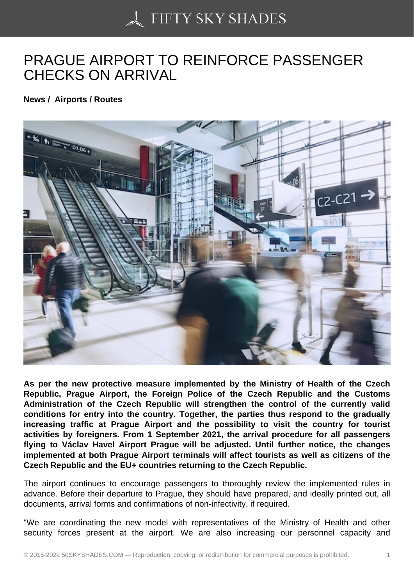## [PRAGUE AIRPORT TO](https://50skyshades.com) REINFORCE PASSENGER CHECKS ON ARRIVAL

News / Airports / Routes

As per the new protective measure implemented by the Ministry of Health of the Czech Republic, Prague Airport, the Foreign Police of the Czech Republic and the Customs Administration of the Czech Republic will strengthen the control of the currently valid conditions for entry into the country. Together, the parties thus respond to the gradually increasing traffic at Prague Airport and the possibility to visit the country for tourist activities by foreigners. From 1 September 2021, the arrival procedure for all passengers flying to Václav Havel Airport Prague will be adjusted. Until further notice, the changes implemented at both Prague Airport terminals will affect tourists as well as citizens of the Czech Republic and the EU+ countries returning to the Czech Republic.

The airport continues to encourage passengers to thoroughly review the implemented rules in advance. Before their departure to Prague, they should have prepared, and ideally printed out, all documents, arrival forms and confirmations of non-infectivity, if required.

"We are coordinating the new model with representatives of the Ministry of Health and other security forces present at the airport. We are also increasing our personnel capacity and